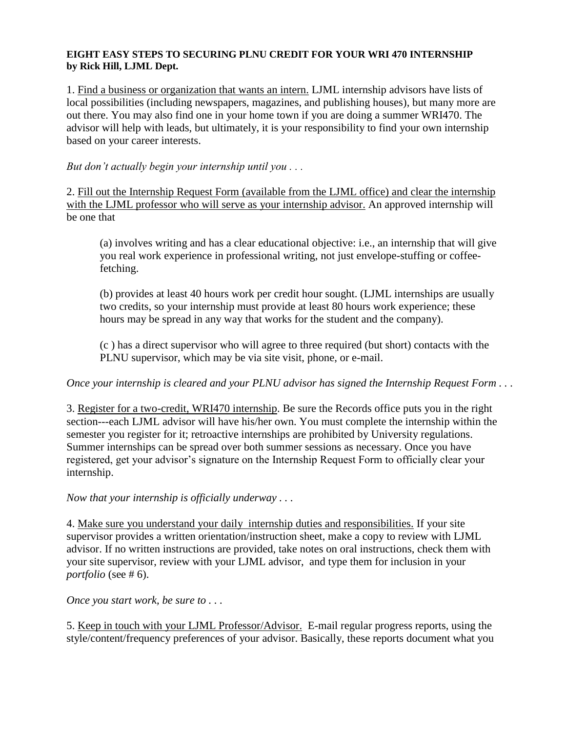## **EIGHT EASY STEPS TO SECURING PLNU CREDIT FOR YOUR WRI 470 INTERNSHIP by Rick Hill, LJML Dept.**

1. Find a business or organization that wants an intern. LJML internship advisors have lists of local possibilities (including newspapers, magazines, and publishing houses), but many more are out there. You may also find one in your home town if you are doing a summer WRI470. The advisor will help with leads, but ultimately, it is your responsibility to find your own internship based on your career interests.

*But don't actually begin your internship until you . . .*

2. Fill out the Internship Request Form (available from the LJML office) and clear the internship with the LJML professor who will serve as your internship advisor. An approved internship will be one that

(a) involves writing and has a clear educational objective: i.e., an internship that will give you real work experience in professional writing, not just envelope-stuffing or coffeefetching.

(b) provides at least 40 hours work per credit hour sought. (LJML internships are usually two credits, so your internship must provide at least 80 hours work experience; these hours may be spread in any way that works for the student and the company).

(c ) has a direct supervisor who will agree to three required (but short) contacts with the PLNU supervisor, which may be via site visit, phone, or e-mail.

## *Once your internship is cleared and your PLNU advisor has signed the Internship Request Form . . .*

3. Register for a two-credit, WRI470 internship. Be sure the Records office puts you in the right section---each LJML advisor will have his/her own. You must complete the internship within the semester you register for it; retroactive internships are prohibited by University regulations. Summer internships can be spread over both summer sessions as necessary. Once you have registered, get your advisor's signature on the Internship Request Form to officially clear your internship.

*Now that your internship is officially underway . . .*

4. Make sure you understand your daily internship duties and responsibilities. If your site supervisor provides a written orientation/instruction sheet, make a copy to review with LJML advisor. If no written instructions are provided, take notes on oral instructions, check them with your site supervisor, review with your LJML advisor, and type them for inclusion in your *portfolio* (see # 6).

*Once you start work, be sure to . . .*

5. Keep in touch with your LJML Professor/Advisor. E-mail regular progress reports, using the style/content/frequency preferences of your advisor. Basically, these reports document what you